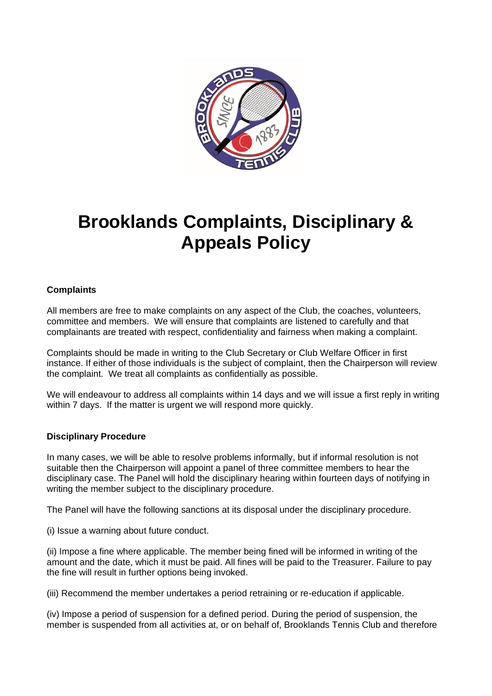

## **Brooklands Complaints, Disciplinary & Appeals Policy**

## **Complaints**

All members are free to make complaints on any aspect of the Club, the coaches, volunteers, committee and members. We will ensure that complaints are listened to carefully and that complainants are treated with respect, confidentiality and fairness when making a complaint.

Complaints should be made in writing to the Club Secretary or Club Welfare Officer in first instance. If either of those individuals is the subject of complaint, then the Chairperson will review the complaint. We treat all complaints as confidentially as possible.

We will endeavour to address all complaints within 14 days and we will issue a first reply in writing within 7 days. If the matter is urgent we will respond more quickly.

## **Disciplinary Procedure**

In many cases, we will be able to resolve problems informally, but if informal resolution is not suitable then the Chairperson will appoint a panel of three committee members to hear the disciplinary case. The Panel will hold the disciplinary hearing within fourteen days of notifying in writing the member subject to the disciplinary procedure.

The Panel will have the following sanctions at its disposal under the disciplinary procedure.

(i) Issue a warning about future conduct.

(ii) Impose a fine where applicable. The member being fined will be informed in writing of the amount and the date, which it must be paid. All fines will be paid to the Treasurer. Failure to pay the fine will result in further options being invoked.

(iii) Recommend the member undertakes a period retraining or re-education if applicable.

(iv) Impose a period of suspension for a defined period. During the period of suspension, the member is suspended from all activities at, or on behalf of, Brooklands Tennis Club and therefore